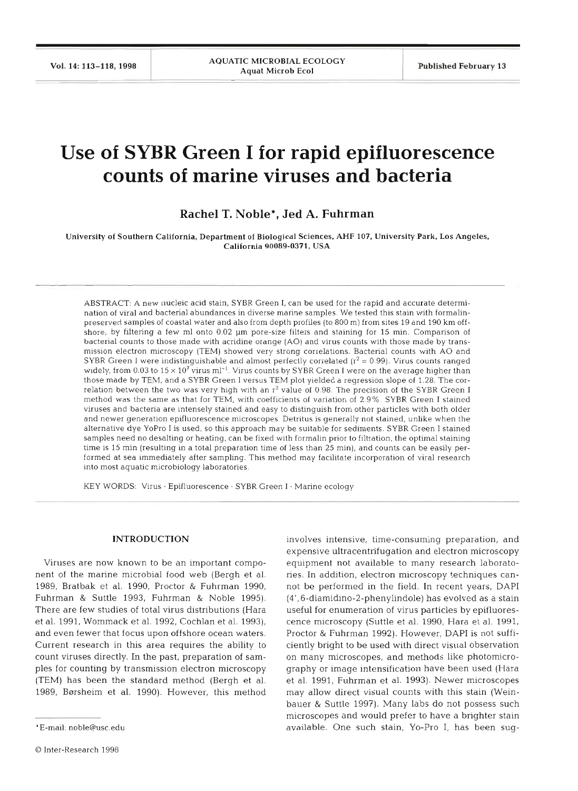# **Use of SYBR Green I for rapid epifluorescence counts of marine viruses and bacteria**

## **Rachel T. Noble\*, Jed A. Fuhrman**

University of Southern California, Department of Biological Sciences, **AHF** 107, University Park. Los Angeles, California 90089-0371, USA

ABSTRACT: A new nucleic acid stain, SYBR Green I, can be used for the rapid and accurate determination of viral and bacterial abundances in diverse marine samples. We tested this stain with formalinpreserved samples of coastal water and also from depth profiles (to 800 m) from sites 19 and 190 km offshore, by filtering a few ml onto 0.02 µm pore-size filters and staining for 15 min. Comparison of bacterial counts to those made with acridine orange (AO) and virus counts with those made by transmission electron microscopy (TEM) showed very strong correlations. Bacterial counts with **A0** and SYBR Green 1 were indistinguishable and almost perfectly correlated ( $r^2$  = 0.99). Virus counts ranged widely, from 0.03 to  $15 \times 10^7$  virus ml<sup>-1</sup>. Virus counts by SYBR Green I were on the average higher than those made by TEM, and a SYBR Green 1 versus TEM plot yielded a regression slope of 1.28. The correlation between the two was very high with an  $r^2$  value of 0.98. The precision of the SYBR Green I method was the same as that for TEM, with coefficients of variation of 2.9%. SYBR Green I stained viruses and bacteria are intensely stained and easy to distinguish from other particles with both older and newer generation epifluorescence microscopes. Detritus is generally not stained, unlike when the alternative dye YoPro I is used, so this approach may be suitable for sediments. SYBR Green I stained samples need no desalting or heating, can be fixed with formalin prior to filtration, the optimal staining time is 15 min (resulting in a total preparation time of less than 25 min), and counts can be easily performed at sea immediately after sampling. This method may facilitate incorporation of viral research into most aquatic microbiology laboratories.

KEY WORDS: Virus · Epifluorescence · SYBR Green I · Marine ecology

## **INTRODUCTION**

Viruses are now known to be an important component of the marine microbial food web (Bergh et al. 1989, Bratbak et al. 1990, Proctor & Fuhrman 1990, Fuhrman & Suttle 1993, Fuhrman & Noble 1995). There are few studies of total virus distributions (Hara et al. 1991, Wommack et al. 1992, Cochlan et al. 1993), and even fewer that focus upon offshore ocean waters. Current research in this area requires the ability to count viruses directly. In the past, preparation of samples for counting by transmission electron microscopy (TEM) has been the standard method (Bergh et al. 1989, Barsheim et al. 1990). However, this method

involves intensive, time-consuming preparation, and expensive ultracentrifugation and electron microscopy equipment not available to many research laboratories. In addition, electron microscopy techniques cannot be performed in the field. In recent years, DAPI **(4',** 6-diamidino-2-phenylindole) has evolved as a stain useful for enumeration of virus particles by epifluorescence microscopy (Suttle et al. 1990, Hara et al. 1991, Proctor & Fuhrman 1992). However, DAPI is not sufficiently bright to be used with direct visual observation on many microscopes, and methods like photomicrography or image intensification have been used (Hara et al. 1991, Fuhrman et al. 1993). Newer microscopes may allow direct visual counts with this stain (Weinbauer & Suttle 1997). Many labs do not possess such microscopes and would prefer to have a brighter stain available. One such stain, Yo-Pro I, has been sug-

<sup>\*</sup>E-mail: noble@usc.edu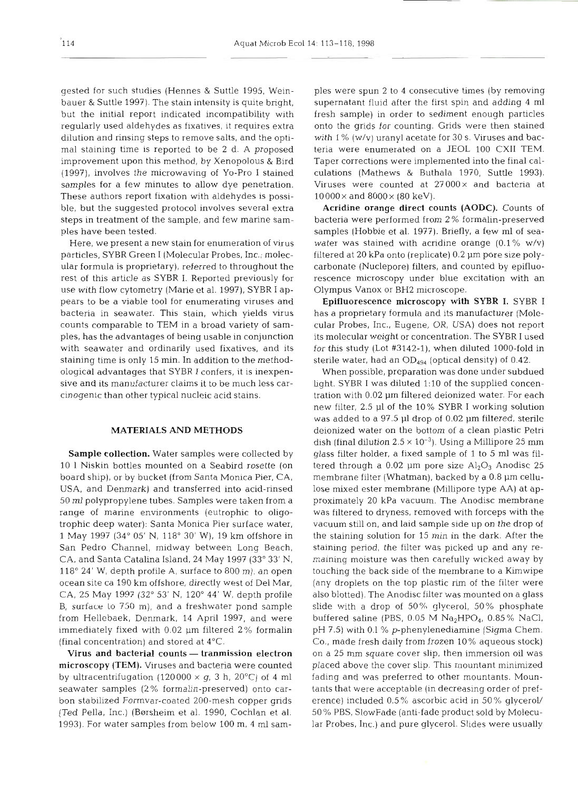bauer & Suttle 1997). The stain intensity is quite bright, but the initial report indicated incompatibility with fresh sample) in order to sediment enough particles regularly used aldehydes as fixatives, it requires extra dilution and rinsing steps to remove salts, and the opti-<br>with  $1\%$  (w/v) uranyl acetate for 30 s. Viruses and bacmal staining time is reported to be 2 d. A proposed teria were enumerated on a JEOL 100 CXII TEM. improvement upon this method, by Xenopolous & Bird Taper corrections were implemented into the final cal-(1997), involves the microwaving of Yo-Pro I stained samples for a few minutes to allow dye penetration. Viruses were counted at  $27000 \times$  and bacteria at These authors report fixation with aldehydes is possi-  $10000 \times$  and  $8000 \times (80 \text{ keV})$ . ble, but the suggested protocol involves several extra **Acridine orange direct counts (AODC).** Counts of steps in treatment of the sample, and few marine sam-<br>bacteria were performed from 2% formalin-preserved ples have been tested.

particles, SYBR Green I (Molecular Probes, Inc.; molec- filtered at 20 kPa onto (replicate) 0.2 µm pore size polyular formula is proprietary), referred to throughout the carbonate (Nuclepore) filters, and counted by epifluorest of this article as SYBR I. Reported previously for rescence microscopy under blue excitation with an use with flow cytometry (Marie et al. 1997), SYBR I ap- Olympus Vanox or BH2 microscope. pears to be a viable tool for enumerating viruses and **Epifluorescence microscopy with SYBR I.** SYBR I bacteria in seawater. This stain, which yields virus has a proprietary formula and its manufacturer (Molestaining time is only 15 min. In addition to the method-<br>sterile water, had an  $OD_{494}$  (optical density) of 0.42. ological advantages that SYBR I confers, it is inexpencinogenic than other typical nucleic acid stains.

### MATERIALS AND METHODS

10 l Niskin bottles mounted on a Seabird rosette (on tered through a 0.02 µm pore size  $Al_2O_3$  Anodisc 25 board ship), or by bucket (from Santa Monica Pier, CA, membrane filter (Whatman), backed by a 0.8 µm cellu-USA, and Denmark) and transferred into acid-rinsed 50 rnl polypropylene tubes. Samples were taken from a range of marine environments (eutrophic to oligotrophic deep water): Santa Monica Pier surface water, 1 May 1997 (34° 05' N, 118° 30' W), 19 km offshore in the staining solution for 15 min in the dark. After the San Pedro Channel, midway between Long Beach, CA, and Santa Catalina Island, 24 May 1997 (33° 33' N, maining moisture was then carefully wicked away by 118" 24' W, depth profile **A,** surface to 800 m), an open ocean site ca 190 km offshore, directly west of Del Mar, (any droplets on the top plastic rim of the filter were CA, 25 May 1997 (32° 53' N, 120° 44' W, depth profile also blotted). The Anodisc filter was mounted on a glass B, surface to 750 m), and a freshwater pond sample slide with a drop of 50% glycerol, 50% phosphate from Hellebaek, Denmark, 14 April 1997, and were buffered saline (PBS, 0.05 M  $Na<sub>2</sub>HPO<sub>4</sub>$ , 0.85% NaCl, immediately fixed with  $0.02 \mu$ m filtered 2% formalin pH 7.5) with 0.1% p-phenylenediamine (Sigma Chem. (final concentration) and stored at 4'C.

microscopy (TEM). Viruses and bacteria were counted placed above the cover slip. This mountant minimized by ultracentrifugation (120000  $\times$  g, 3 h, 20°C) of 4 ml fading and was preferred to other mountants. Mounseawater samples (2% formalin-preserved) onto carbon stabilized Formvar-coated 200-mesh copper grids erence) included 0.5% ascorbic acid in 50% glycerol/ (Ted Pella, Inc.) (Børsheim et al. 1990, Cochlan et al. 50% PBS, SlowFade (anti-fade product sold by Molecu-1993). For water samples from below 100 m, 4 ml sam- lar Probes, Inc.) and pure glycerol. Slides were usually

gested for such studies (Hennes & Suttle 1995, Wein-

Here, we present a new stain for enumeration of virus water was stained with acridine orange  $(0.1\% \text{ w/v})$ 

counts comparable to TEM in a broad variety of samples, has the advantages of being usable in conjunction with seawater and ordinarily used fixatives, and its for this study (Lot #3142-1), when diluted 1000-fold in

sive and its manufacturer claims it to be much less car-<br>light. SYBR I was diluted 1:10 of the supplied concen-Sample collection. Water samples were collected by glass filter holder, a fixed sample of 1 to 5 ml was fil-Virus and bacterial counts - tranmission electron on a 25 mm square cover slip, then immersion oil was iver spin 2 to 4 consecutive times by removing<br>andant fluid after the first spin and adding 4 ml<br>andant fluid after the first spin and adding 4 ml<br>andant fluid after the first spin and adding 4 ml<br><sup>9</sup>% (w/v) uranyl acetate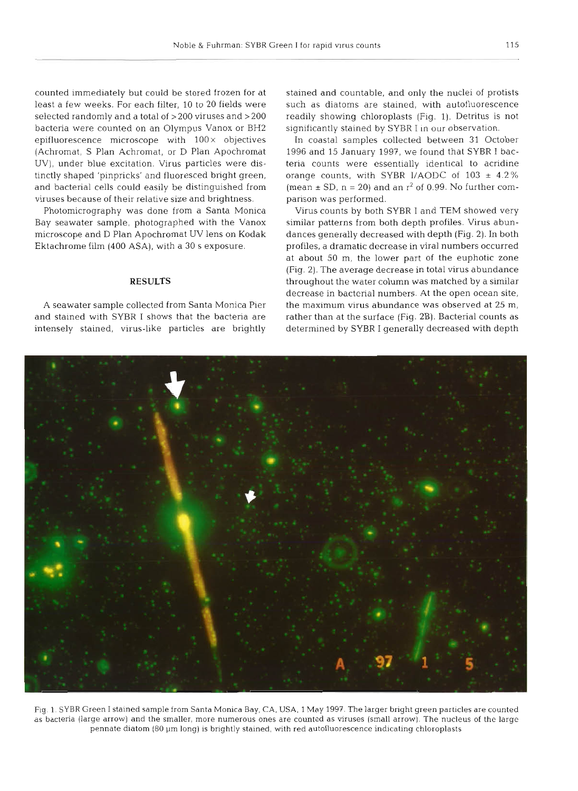counted immediately but could be stored frozen for at least a few weeks. For each filter, 10 to 20 fields were selected randomly and a total of > 200 viruses and > 200 bacteria were counted on an Olympus Vanox or BH2 epifluorescence microscope with  $100 \times$  objectives (Achromat, S Plan Achromat, or D Plan Apochromat UV), under blue excitation. Virus particles were distinctly shaped 'pinpricks' and fluoresced bright green, and bacterial cells could easily be distinguished from viruses because of their relative size and brightness.

Photomicrography was done from a Santa Monica Bay seawater sample, photographed with the Vanox microscope and D Plan Apochromat UV lens on Kodak Ektachrome film (400 ASA), with a 30 s exposure.

#### **RESULTS**

A seawater sample collected from Santa Monica Pier and stained with SYBR I shows that the bacteri intensely stained, virus-like particles are brightly

stained and countable, and only the nuclei of protists such as diatoms are stained, with autofluorescence readily showing chloroplasts (Fig. 1). Detritus is not significantly stained by SYBR I in our observation.

In coastal samples collected between 31 October 1996 and 15 January 1997, we found that SYBR I bacteria counts were essentially identical to acridine orange counts, with SYBR I/AODC of  $103 \pm 4.2\%$ (mean  $\pm$  SD, n = 20) and an  $r^2$  of 0.99. No further comparison was performed.

Virus counts by both SYBR I and TEM showed very similar patterns from both depth profiles. Virus abundances generally decreased with depth (Fig. 2). In both profiles, a dramatic decrease in viral numbers occurred at about 50 m, the lower part of the euphotic zone (Fig. 2). The average decrease in total virus abundance throughout the water column was matched by a similar decrease in bacterial numbers. At the open ocean site, the maximum virus abundance was observed at 25 m, rather than at the surface (Fig. 2B). Bacterial counts as determined by SYBR I generally decreased with depth



Fig. l. SYBR Green I stained sample from Santa Monica Bay. CA, **USA,** 1 May 1997. The larger bright green particles are counted as bacteria (large arrow) and the smaller, more numerous ones are counted as viruses (small arrow). The nucleus of the large pennate diatom (80 pm long) is brightly stained, with red autofluorescence indicating chloroplasts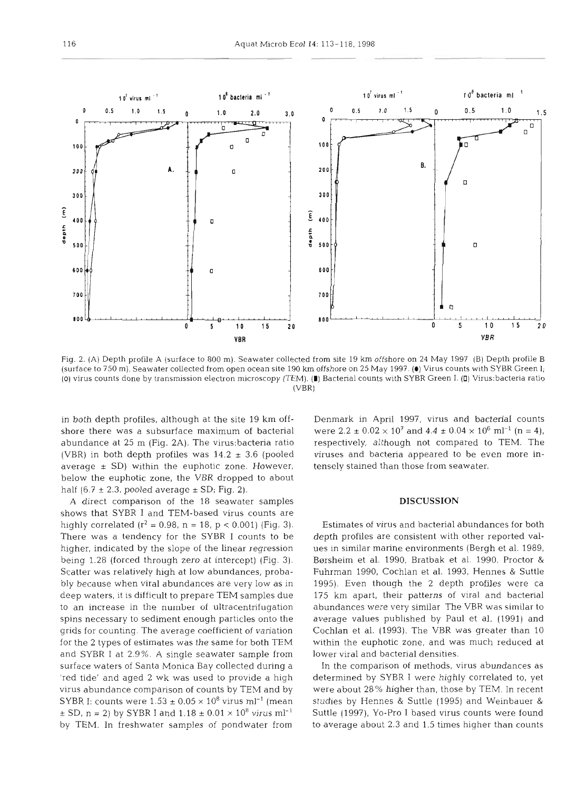

Fig. 2. (A) Depth profile A (surface to 800 m). Seawater collected from site 19 km offshore on 24 May 1997 (B) Depth profile B (surface to 750 m). Seawater collected from open ocean site 190 km offshore on 25 May 1997. ( $\bullet$ ) Virus counts with SYBR Green I<sub>i</sub> **(0)** virus counts done by transmission electron microscopy (TEM). **(I)** Bacterial counts with SYBR Green I. (U) Virus:bacteria ratio (VBR)

in both depth profiles, although at the site 19 km offshore there was a subsurface maximum of bacterial abundance at 25 m (Fig. 2A). The virus:bacteria ratio (VBR) in both depth profiles was  $14.2 \pm 3.6$  (pooled average  $\pm$  SD) within the euphotic zone. However, below the euphotic zone, the VBR dropped to about half (6.7  $\pm$  2.3, pooled average  $\pm$  SD; Fig. 2).

A direct comparison of the 18 seawater samples shows that SYBR I and TEM-based virus counts are highly correlated  $(r^2 = 0.98, n = 18, p < 0.001)$  (Fig. 3). There was a tendency for the SYBR I counts to be higher, indicated by the slope of the linear regression being 1.28 (forced through zero at intercept) (Fig. 3). Scatter was relatively high at low abundances, probably because when viral abundances are very low as in deep waters, it is difficult to prepare TEM samples due to an increase in the number of ultracentrifugation spins necessary to sediment enough particles onto the grids for counting. The average coefficient of variation for the 2 types of estimates was the same for both TEM and SYBR I at 2.9%. A single seawater sample from surface waters of Santa Monica Bay collected during a 'red tide' and aged 2 wk was used to provide a high virus abundance comparison of counts by TEM and by SYBR I: counts were  $1.53 \pm 0.05 \times 10^8$  virus ml<sup>-1</sup> (mean  $\pm$  SD, n = 2) by SYBR I and 1.18  $\pm$  0.01  $\times$  10<sup>8</sup> virus ml<sup>-1</sup> by TEM. In freshwater samples of pondwater from

Denmark in April 1997, virus and bacterial counts were  $2.2 \pm 0.02 \times 10^7$  and  $4.4 \pm 0.04 \times 10^6$  ml<sup>-1</sup> (n = 4), respectively, although not compared to TEM. The viruses and bacteria appeared to be even more intensely stained than those from seawater.

#### **DISCUSSION**

Estimates of virus and bacterial abundances for both depth profiles are consistent with other reported values in simdar marine environments (Bergh et al. 1989, Børsheim et al. 1990, Bratbak et al. 1990, Proctor & Fuhrman 1990, Cochlan et al. 1993, Hennes & Suttle 1995). Even though the 2 depth profiles were ca 175 km apart, their patterns of viral and bacterial abundances were very similar The VBR was similar to average values published by Paul et al. (1991) and Cochlan et al. (1993). The VBR was greater than 10 within the euphotic zone, and was much reduced at lower viral and bacterial densities.

In the comparison of methods, virus abundances as determined by SYBR I were highly correlated to, yet were about 28% higher than, those by TEM. In recent studies by Hennes & Suttle (1995) and Weinbauer & Suttle (1997), Yo-Pro I based virus counts were found to average about 2.3 and 1.5 times higher than counts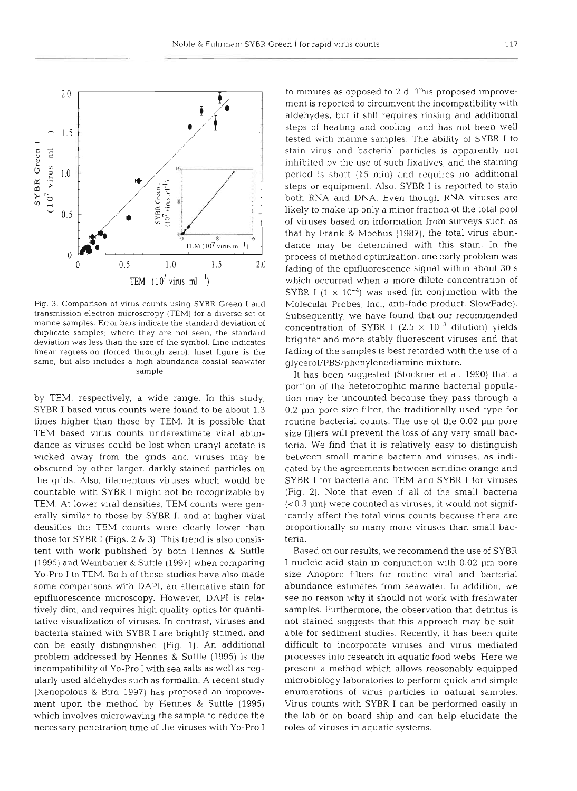

Fig. **3.** Comparison of virus counts using SYBR Green I and transmission electron microscropy (TEM) for a diverse set of marine samples. Error bars indicate the standard deviation of duplicate samples; where they are not seen, the standard deviation was less than the size of the symbol. Line indicates linear regression (forced through zero). Inset figure is the same, but also includes a high abundance coastal seawater sample

by TEM, respectively, a wide range. In this study, SYBR I based virus counts were found to be about 1.3 times higher than those by TEM. It is possible that TEM based virus counts underestimate viral abundance as viruses could be lost when uranyl acetate is wicked away from the grids and viruses may be obscured by other larger, darkly stained particles on the grids. Also, filamentous viruses which would be countable with SYBR I might not be recognizable by TEM. At lower viral densities, TEM counts were generally similar to those by SYBR I, and at higher viral densities the TEM counts were clearly lower than those for SYBR I (Figs. 2 & 3). This trend is also consistent with work published by both Hennes & Suttle (1995) and Weinbauer & Suttle (1997) when comparing Yo-Pro I to TEM. Both of these studies have also made some comparisons with DAPI, an alternative stain for epifluorescence microscopy. However, DAPI is relatively dim, and requires high quality optics for quantitative visualization of viruses. In contrast, viruses and bacteria stained with SYBR I are brightly stained, and can be easily distinguished (Fig. 1). An additional problem addressed by Hennes & Suttle (1995) is the incompatibility of Yo-Pro I with sea salts as well as regularly used aldehydes such as formalin. A recent study (Xenopolous & Bird 1997) has proposed an improvement upon the method by Hennes & Suttle (1995) which involves microwaving the sample to reduce the necessary penetration time of the viruses with Yo-Pro I

to minutes as opposed to 2 d. This proposed improvement is reported to circumvent the incompatibility with aldehydes, but it still requires rinsing and additional steps of heating and cooling, and has not been well tested with marine samples. The ability of SYBR I to stain virus and bacterial particles is apparently not inhibited by the use of such fixatives, and the staining period is short (15 min) and requires no additional steps or equipment. Also, SYBR I is reported to stain both RNA and DNA. Even though RNA viruses are likely to make up only a minor fraction of the total pool of viruses based on information from surveys such as that by Frank & Moebus (1987), the total virus abundance may be determined with this stain. In the process of method optimization, one early problem was fading of the epifluorescence signal within about 30 s which occurred when a more dilute concentration of SYBR I  $(1 \times 10^{-4})$  was used (in conjunction with the Molecular Probes, Inc., anti-fade product, SlowFade). Subsequently, we have found that our recommended concentration of SYBR I  $(2.5 \times 10^{-3}$  dilution) yields brighter and more stably fluorescent viruses and that fading of the samples is best retarded with the use of a glycerol/PBS/phenylenediamine mixture.

It has been suggested (Stockner et al. 1990) that a portion of the heterotrophic marine bacterial population may be uncounted because they pass through a 0.2 µm pore size filter, the traditionally used type for routine bacterial counts. The use of the 0.02 µm pore size filters will prevent the loss of any very small bacteria. We find that it is relatively easy to distinguish between small marine bacteria and viruses, as indicated by the agreements between acridine orange and SYBR I for bacteria and TEM and SYBR I for viruses (Fig. 2). Note that even if all of the small bacteria  $( $0.3 \mu m$ ) were counted as viruses, it would not sign if$ icantly affect the total virus counts because there are proportionally so many more viruses than small bacteria.

Based on our results, we recommend the use of SYBR I nucleic acid stain in conjunction with 0.02 µm pore size Anopore filters for routine viral and bacterial abundance estimates from seawater. In addition, we see no reason why it should not work with freshwater samples. Furthermore, the observation that detritus is not stained suggests that this approach may be suitable for sediment studies. Recently, it has been quite difficult to incorporate viruses and virus mediated processes into research in aquatic food webs. Here we present a method which allows reasonably equipped microbiology laboratories to perform quick and simple enumerations of virus particles in natural samples. Virus counts with SYBR I can be performed easily in the lab or on board ship and can help elucidate the roles of viruses in aquatic systems.